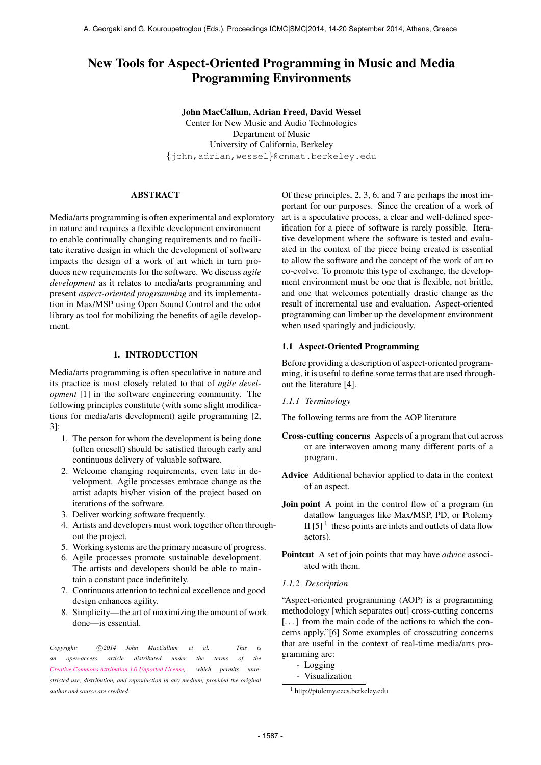# New Tools for Aspect-Oriented Programming in Music and Media Programming Environments

John MacCallum, Adrian Freed, David Wessel Center for New Music and Audio Technologies Department of Music University of California, Berkeley {john,adrian,wessel}@cnmat.berkeley.edu

# ABSTRACT

Media/arts programming is often experimental and exploratory in nature and requires a flexible development environment to enable continually changing requirements and to facilitate iterative design in which the development of software impacts the design of a work of art which in turn produces new requirements for the software. We discuss *agile development* as it relates to media/arts programming and present *aspect-oriented programming* and its implementation in Max/MSP using Open Sound Control and the odot library as tool for mobilizing the benefits of agile development.

# 1. INTRODUCTION

Media/arts programming is often speculative in nature and its practice is most closely related to that of *agile development* [1] in the software engineering community. The following principles constitute (with some slight modifications for media/arts development) agile programming [2, 3]:

- 1. The person for whom the development is being done (often oneself) should be satisfied through early and continuous delivery of valuable software.
- 2. Welcome changing requirements, even late in development. Agile processes embrace change as the artist adapts his/her vision of the project based on iterations of the software.
- 3. Deliver working software frequently.
- 4. Artists and developers must work together often throughout the project.
- 5. Working systems are the primary measure of progress.
- 6. Agile processes promote sustainable development. The artists and developers should be able to maintain a constant pace indefinitely.
- 7. Continuous attention to technical excellence and good design enhances agility.
- 8. Simplicity—the art of maximizing the amount of work done—is essential.

Copyright:  $\bigcirc$ 2014 John MacCallum et al. This is *an open-access article distributed under the terms of the [Creative Commons Attribution 3.0 Unported License,](http://creativecommons.org/licenses/by/3.0/) which permits unrestricted use, distribution, and reproduction in any medium, provided the original author and source are credited.*

Of these principles, 2, 3, 6, and 7 are perhaps the most important for our purposes. Since the creation of a work of art is a speculative process, a clear and well-defined specification for a piece of software is rarely possible. Iterative development where the software is tested and evaluated in the context of the piece being created is essential to allow the software and the concept of the work of art to co-evolve. To promote this type of exchange, the development environment must be one that is flexible, not brittle, and one that welcomes potentially drastic change as the result of incremental use and evaluation. Aspect-oriented programming can limber up the development environment when used sparingly and judiciously.

# 1.1 Aspect-Oriented Programming

Before providing a description of aspect-oriented programming, it is useful to define some terms that are used throughout the literature [4].

*1.1.1 Terminology*

The following terms are from the AOP literature

- Cross-cutting concerns Aspects of a program that cut across or are interwoven among many different parts of a program.
- Advice Additional behavior applied to data in the context of an aspect.
- Join point A point in the control flow of a program (in dataflow languages like Max/MSP, PD, or Ptolemy II [5] $<sup>1</sup>$  these points are inlets and outlets of data flow</sup> actors).
- Pointcut A set of join points that may have *advice* associated with them.
- *1.1.2 Description*

"Aspect-oriented programming (AOP) is a programming methodology [which separates out] cross-cutting concerns [...] from the main code of the actions to which the concerns apply."[6] Some examples of crosscutting concerns that are useful in the context of real-time media/arts programming are:

- Logging
- Visualization

<sup>1</sup> <http://ptolemy.eecs.berkeley.edu>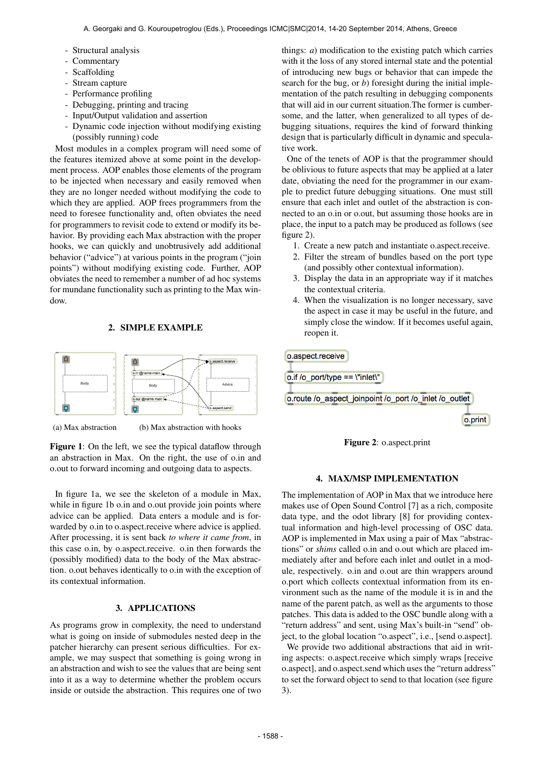- Structural analysis
- Commentary
- Scaffolding
- Stream capture
- Performance profiling
- Debugging, printing and tracing
- Input/Output validation and assertion
- Dynamic code injection without modifying existing (possibly running) code

Most modules in a complex program will need some of the features itemized above at some point in the development process. AOP enables those elements of the program to be injected when necessary and easily removed when they are no longer needed without modifying the code to which they are applied. AOP frees programmers from the need to foresee functionality and, often obviates the need for programmers to revisit code to extend or modify its behavior. By providing each Max abstraction with the proper hooks, we can quickly and unobtrusively add additional behavior ("advice") at various points in the program ("join points") without modifying existing code. Further, AOP obviates the need to remember a number of ad hoc systems for mundane functionality such as printing to the Max window.

# 2. SIMPLE EXAMPLE



(a) Max abstraction

(b) Max abstraction with hooks

Figure 1: On the left, we see the typical dataflow through an abstraction in Max. On the right, the use of o.in and o.out to forward incoming and outgoing data to aspects.

In figure 1a, we see the skeleton of a module in Max, while in figure 1b o.in and o.out provide join points where advice can be applied. Data enters a module and is forwarded by o.in to o.aspect.receive where advice is applied. After processing, it is sent back *to where it came from*, in this case o.in, by o.aspect.receive. o.in then forwards the (possibly modified) data to the body of the Max abstraction. o.out behaves identically to o.in with the exception of its contextual information.

# 3. APPLICATIONS

As programs grow in complexity, the need to understand what is going on inside of submodules nested deep in the patcher hierarchy can present serious difficulties. For example, we may suspect that something is going wrong in an abstraction and wish to see the values that are being sent into it as a way to determine whether the problem occurs inside or outside the abstraction. This requires one of two things: *a*) modification to the existing patch which carries with it the loss of any stored internal state and the potential of introducing new bugs or behavior that can impede the search for the bug, or *b*) foresight during the initial implementation of the patch resulting in debugging components that will aid in our current situation.The former is cumbersome, and the latter, when generalized to all types of debugging situations, requires the kind of forward thinking design that is particularly difficult in dynamic and speculative work.

One of the tenets of AOP is that the programmer should be oblivious to future aspects that may be applied at a later date, obviating the need for the programmer in our example to predict future debugging situations. One must still ensure that each inlet and outlet of the abstraction is connected to an o.in or o.out, but assuming those hooks are in place, the input to a patch may be produced as follows (see figure 2).

- 1. Create a new patch and instantiate o.aspect.receive.
- 2. Filter the stream of bundles based on the port type (and possibly other contextual information).
- 3. Display the data in an appropriate way if it matches the contextual criteria.
- 4. When the visualization is no longer necessary, save the aspect in case it may be useful in the future, and simply close the window. If it becomes useful again, reopen it.

o.aspect.receive o.if /o\_port/type == \"inlet\" o.route /o aspect joinpoint /o port /o inlet /o outlet o.print



#### 4. MAX/MSP IMPLEMENTATION

The implementation of AOP in Max that we introduce here makes use of Open Sound Control [7] as a rich, composite data type, and the odot library [8] for providing contextual information and high-level processing of OSC data. AOP is implemented in Max using a pair of Max "abstractions" or *shims* called o.in and o.out which are placed immediately after and before each inlet and outlet in a module, respectively. o.in and o.out are thin wrappers around o.port which collects contextual information from its environment such as the name of the module it is in and the name of the parent patch, as well as the arguments to those patches. This data is added to the OSC bundle along with a "return address" and sent, using Max's built-in "send" object, to the global location "o.aspect", i.e., [send o.aspect].

We provide two additional abstractions that aid in writing aspects: o.aspect.receive which simply wraps [receive o.aspect], and o.aspect.send which uses the "return address" to set the forward object to send to that location (see figure 3).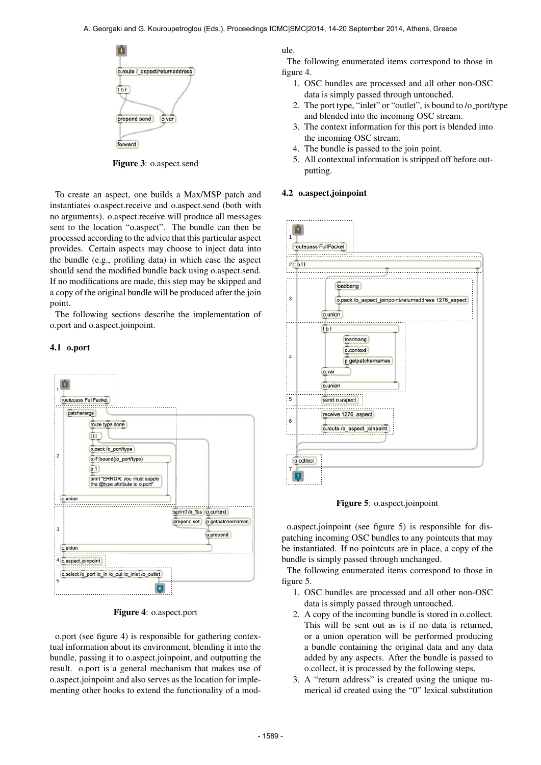

Figure 3: o.aspect.send

To create an aspect, one builds a Max/MSP patch and instantiates o.aspect.receive and o.aspect.send (both with no arguments). o.aspect.receive will produce all messages sent to the location "o.aspect". The bundle can then be processed according to the advice that this particular aspect provides. Certain aspects may choose to inject data into the bundle (e.g., profiling data) in which case the aspect should send the modified bundle back using o.aspect.send. If no modifications are made, this step may be skipped and a copy of the original bundle will be produced after the join point.

The following sections describe the implementation of o.port and o.aspect.joinpoint.

#### 4.1 o.port



Figure 4: o.aspect.port

o.port (see figure 4) is responsible for gathering contextual information about its environment, blending it into the bundle, passing it to o.aspect.joinpoint, and outputting the result. o.port is a general mechanism that makes use of o.aspect.joinpoint and also serves as the location for implementing other hooks to extend the functionality of a module.

The following enumerated items correspond to those in figure 4.

- 1. OSC bundles are processed and all other non-OSC data is simply passed through untouched.
- 2. The port type, "inlet" or "outlet", is bound to /o port/type and blended into the incoming OSC stream.
- 3. The context information for this port is blended into the incoming OSC stream.
- 4. The bundle is passed to the join point.
- 5. All contextual information is stripped off before outputting.

#### 4.2 o.aspect.joinpoint



Figure 5: o.aspect.joinpoint

o.aspect.joinpoint (see figure 5) is responsible for dispatching incoming OSC bundles to any pointcuts that may be instantiated. If no pointcuts are in place, a copy of the bundle is simply passed through unchanged.

The following enumerated items correspond to those in figure 5.

- 1. OSC bundles are processed and all other non-OSC data is simply passed through untouched.
- 2. A copy of the incoming bundle is stored in o.collect. This will be sent out as is if no data is returned, or a union operation will be performed producing a bundle containing the original data and any data added by any aspects. After the bundle is passed to o.collect, it is processed by the following steps.
- 3. A "return address" is created using the unique numerical id created using the "0" lexical substitution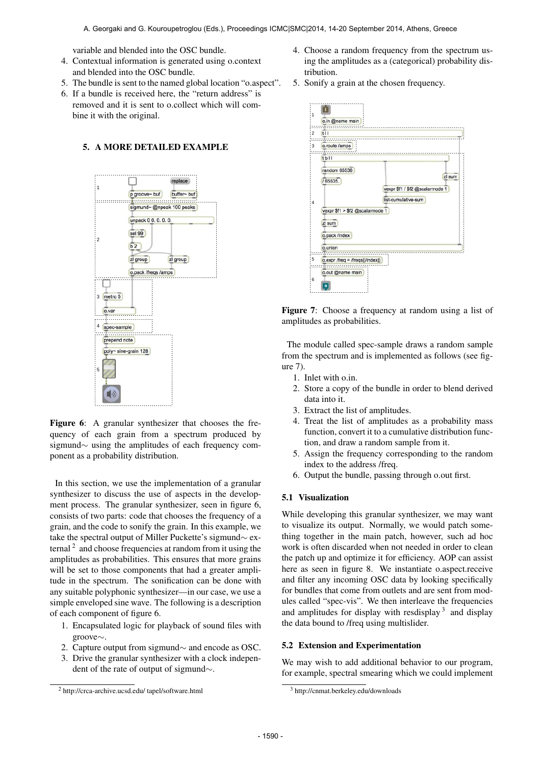variable and blended into the OSC bundle.

- 4. Contextual information is generated using o.context and blended into the OSC bundle.
- 5. The bundle is sent to the named global location "o.aspect".
- 6. If a bundle is received here, the "return address" is removed and it is sent to o.collect which will combine it with the original.

# 5. A MORE DETAILED EXAMPLE



Figure 6: A granular synthesizer that chooses the frequency of each grain from a spectrum produced by sigmund∼ using the amplitudes of each frequency component as a probability distribution.

In this section, we use the implementation of a granular synthesizer to discuss the use of aspects in the development process. The granular synthesizer, seen in figure 6, consists of two parts: code that chooses the frequency of a grain, and the code to sonify the grain. In this example, we take the spectral output of Miller Puckette's sigmund∼ external  $2$  and choose frequencies at random from it using the amplitudes as probabilities. This ensures that more grains will be set to those components that had a greater amplitude in the spectrum. The sonification can be done with any suitable polyphonic synthesizer—in our case, we use a simple enveloped sine wave. The following is a description of each component of figure 6.

- 1. Encapsulated logic for playback of sound files with groove∼.
- 2. Capture output from sigmund∼ and encode as OSC.
- 3. Drive the granular synthesizer with a clock independent of the rate of output of sigmund∼.
- 4. Choose a random frequency from the spectrum using the amplitudes as a (categorical) probability distribution.
- 5. Sonify a grain at the chosen frequency.





The module called spec-sample draws a random sample from the spectrum and is implemented as follows (see figure 7).

- 1. Inlet with o.in.
- 2. Store a copy of the bundle in order to blend derived data into it.
- 3. Extract the list of amplitudes.
- 4. Treat the list of amplitudes as a probability mass function, convert it to a cumulative distribution function, and draw a random sample from it.
- 5. Assign the frequency corresponding to the random index to the address /freq.
- 6. Output the bundle, passing through o.out first.

# 5.1 Visualization

While developing this granular synthesizer, we may want to visualize its output. Normally, we would patch something together in the main patch, however, such ad hoc work is often discarded when not needed in order to clean the patch up and optimize it for efficiency. AOP can assist here as seen in figure 8. We instantiate o.aspect.receive and filter any incoming OSC data by looking specifically for bundles that come from outlets and are sent from modules called "spec-vis". We then interleave the frequencies and amplitudes for display with resdisplay  $3$  and display the data bound to /freq using multislider.

### 5.2 Extension and Experimentation

We may wish to add additional behavior to our program, for example, spectral smearing which we could implement

<sup>2</sup> [http://crca-archive.ucsd.edu/ tapel/software.html](http://crca-archive.ucsd.edu/~tapel/software.html)

<sup>3</sup> <http://cnmat.berkeley.edu/downloads>